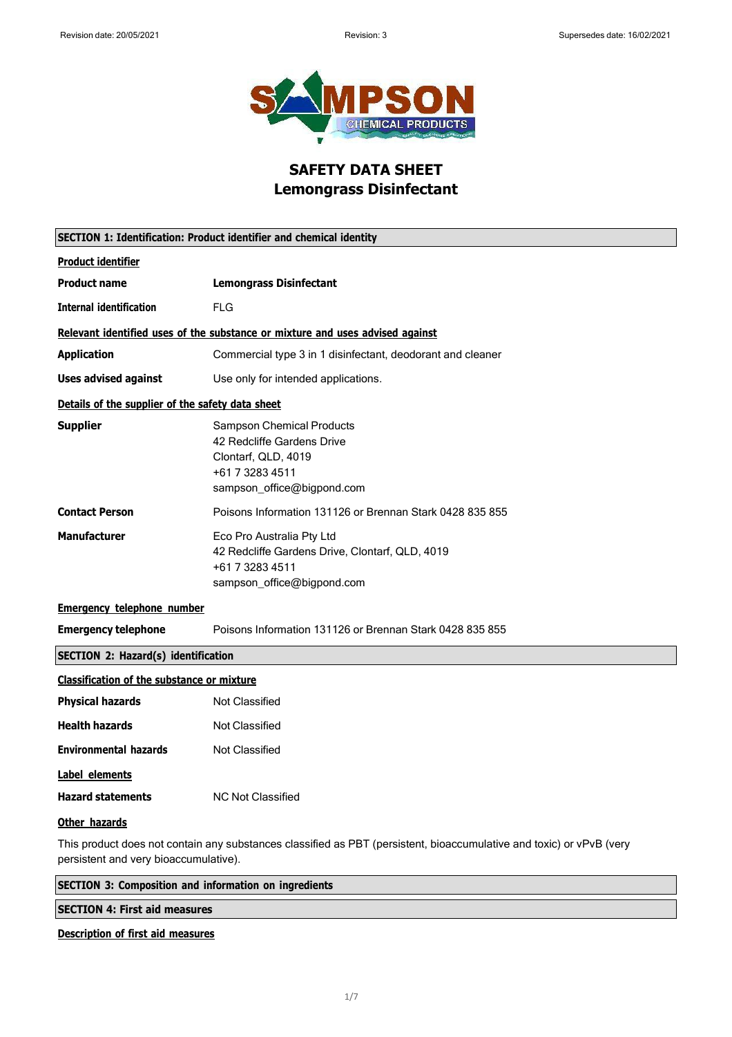

## **SAFETY DATA SHEET Lemongrass Disinfectant**

| SECTION 1: Identification: Product identifier and chemical identity |                                                                                                                                        |
|---------------------------------------------------------------------|----------------------------------------------------------------------------------------------------------------------------------------|
| <b>Product identifier</b>                                           |                                                                                                                                        |
| <b>Product name</b>                                                 | <b>Lemongrass Disinfectant</b>                                                                                                         |
| <b>Internal identification</b>                                      | <b>FLG</b>                                                                                                                             |
|                                                                     | Relevant identified uses of the substance or mixture and uses advised against                                                          |
| <b>Application</b>                                                  | Commercial type 3 in 1 disinfectant, deodorant and cleaner                                                                             |
| <b>Uses advised against</b>                                         | Use only for intended applications.                                                                                                    |
| Details of the supplier of the safety data sheet                    |                                                                                                                                        |
| <b>Supplier</b>                                                     | <b>Sampson Chemical Products</b><br>42 Redcliffe Gardens Drive<br>Clontarf, QLD, 4019<br>+61 7 3283 4511<br>sampson_office@bigpond.com |
| <b>Contact Person</b>                                               | Poisons Information 131126 or Brennan Stark 0428 835 855                                                                               |
| <b>Manufacturer</b>                                                 | Eco Pro Australia Pty Ltd<br>42 Redcliffe Gardens Drive, Clontarf, QLD, 4019<br>+61 7 3283 4511<br>sampson office@bigpond.com          |
| <b>Emergency telephone number</b>                                   |                                                                                                                                        |
| <b>Emergency telephone</b>                                          | Poisons Information 131126 or Brennan Stark 0428 835 855                                                                               |
| <b>SECTION 2: Hazard(s) identification</b>                          |                                                                                                                                        |
| Classification of the substance or mixture                          |                                                                                                                                        |
| <b>Physical hazards</b>                                             | <b>Not Classified</b>                                                                                                                  |
| <b>Health hazards</b>                                               | Not Classified                                                                                                                         |
| <b>Environmental hazards</b>                                        | <b>Not Classified</b>                                                                                                                  |
| Label elements<br><b>Hazard statements</b><br>Other hazards         | <b>NC Not Classified</b>                                                                                                               |
| persistent and very bioaccumulative).                               | This product does not contain any substances classified as PBT (persistent, bioaccumulative and toxic) or vPvB (very                   |

| <b>SECTION 3: Composition and information on ingredients</b> |  |  |
|--------------------------------------------------------------|--|--|
| <b>SECTION 4: First aid measures</b>                         |  |  |
| _                                                            |  |  |

### **Description of first aid measures**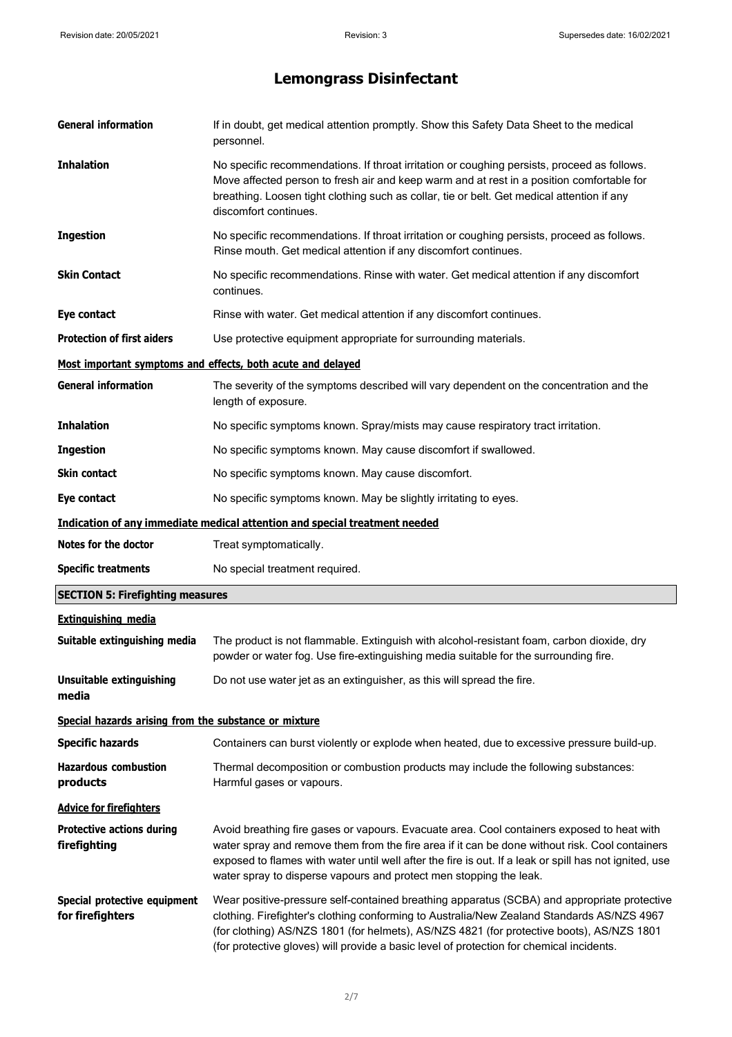| <b>General information</b>                            | If in doubt, get medical attention promptly. Show this Safety Data Sheet to the medical<br>personnel.                                                                                                                                                                                                                                                                              |
|-------------------------------------------------------|------------------------------------------------------------------------------------------------------------------------------------------------------------------------------------------------------------------------------------------------------------------------------------------------------------------------------------------------------------------------------------|
| <b>Inhalation</b>                                     | No specific recommendations. If throat irritation or coughing persists, proceed as follows.<br>Move affected person to fresh air and keep warm and at rest in a position comfortable for<br>breathing. Loosen tight clothing such as collar, tie or belt. Get medical attention if any<br>discomfort continues.                                                                    |
| <b>Ingestion</b>                                      | No specific recommendations. If throat irritation or coughing persists, proceed as follows.<br>Rinse mouth. Get medical attention if any discomfort continues.                                                                                                                                                                                                                     |
| <b>Skin Contact</b>                                   | No specific recommendations. Rinse with water. Get medical attention if any discomfort<br>continues.                                                                                                                                                                                                                                                                               |
| Eye contact                                           | Rinse with water. Get medical attention if any discomfort continues.                                                                                                                                                                                                                                                                                                               |
| <b>Protection of first aiders</b>                     | Use protective equipment appropriate for surrounding materials.                                                                                                                                                                                                                                                                                                                    |
|                                                       | Most important symptoms and effects, both acute and delayed                                                                                                                                                                                                                                                                                                                        |
| <b>General information</b>                            | The severity of the symptoms described will vary dependent on the concentration and the<br>length of exposure.                                                                                                                                                                                                                                                                     |
| <b>Inhalation</b>                                     | No specific symptoms known. Spray/mists may cause respiratory tract irritation.                                                                                                                                                                                                                                                                                                    |
| <b>Ingestion</b>                                      | No specific symptoms known. May cause discomfort if swallowed.                                                                                                                                                                                                                                                                                                                     |
| Skin contact                                          | No specific symptoms known. May cause discomfort.                                                                                                                                                                                                                                                                                                                                  |
| Eye contact                                           | No specific symptoms known. May be slightly irritating to eyes.                                                                                                                                                                                                                                                                                                                    |
|                                                       | Indication of any immediate medical attention and special treatment needed                                                                                                                                                                                                                                                                                                         |
| Notes for the doctor                                  | Treat symptomatically.                                                                                                                                                                                                                                                                                                                                                             |
| <b>Specific treatments</b>                            | No special treatment required.                                                                                                                                                                                                                                                                                                                                                     |
| <b>SECTION 5: Firefighting measures</b>               |                                                                                                                                                                                                                                                                                                                                                                                    |
| <b>Extinguishing media</b>                            |                                                                                                                                                                                                                                                                                                                                                                                    |
| Suitable extinguishing media                          | The product is not flammable. Extinguish with alcohol-resistant foam, carbon dioxide, dry<br>powder or water fog. Use fire-extinguishing media suitable for the surrounding fire.                                                                                                                                                                                                  |
| <b>Unsuitable extinguishing</b><br>media              | Do not use water jet as an extinguisher, as this will spread the fire.                                                                                                                                                                                                                                                                                                             |
| Special hazards arising from the substance or mixture |                                                                                                                                                                                                                                                                                                                                                                                    |
| <b>Specific hazards</b>                               | Containers can burst violently or explode when heated, due to excessive pressure build-up.                                                                                                                                                                                                                                                                                         |
| <b>Hazardous combustion</b><br>products               | Thermal decomposition or combustion products may include the following substances:<br>Harmful gases or vapours.                                                                                                                                                                                                                                                                    |
| <b>Advice for firefighters</b>                        |                                                                                                                                                                                                                                                                                                                                                                                    |
| <b>Protective actions during</b><br>firefighting      | Avoid breathing fire gases or vapours. Evacuate area. Cool containers exposed to heat with<br>water spray and remove them from the fire area if it can be done without risk. Cool containers<br>exposed to flames with water until well after the fire is out. If a leak or spill has not ignited, use<br>water spray to disperse vapours and protect men stopping the leak.       |
| Special protective equipment<br>for firefighters      | Wear positive-pressure self-contained breathing apparatus (SCBA) and appropriate protective<br>clothing. Firefighter's clothing conforming to Australia/New Zealand Standards AS/NZS 4967<br>(for clothing) AS/NZS 1801 (for helmets), AS/NZS 4821 (for protective boots), AS/NZS 1801<br>(for protective gloves) will provide a basic level of protection for chemical incidents. |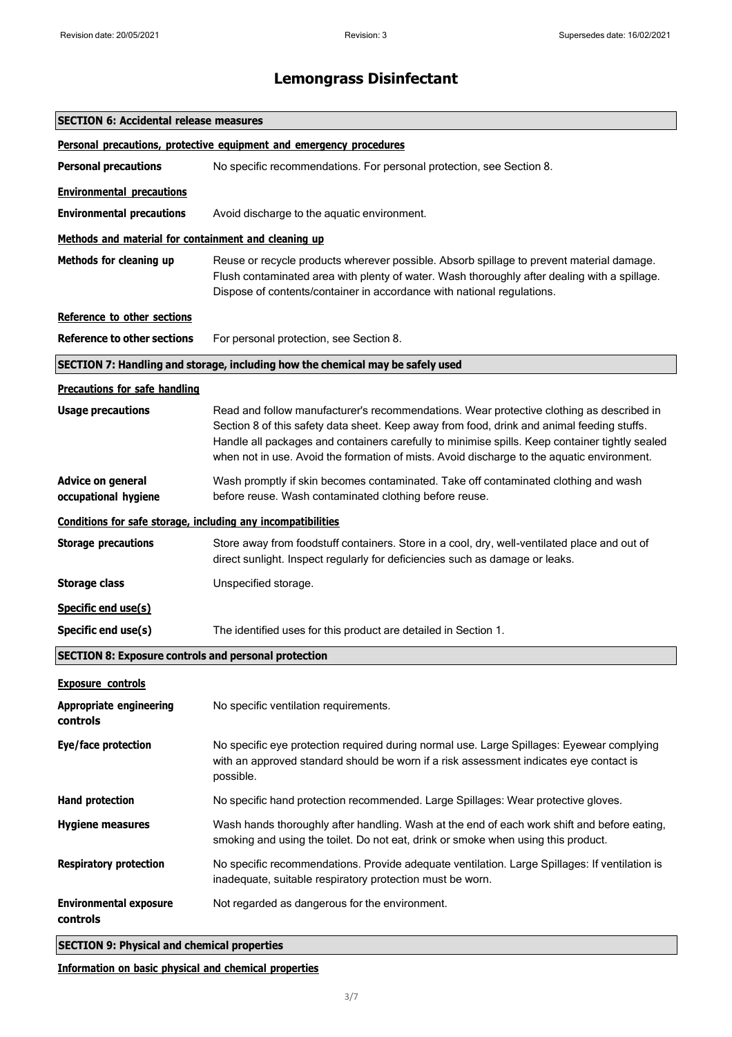| <b>SECTION 6: Accidental release measures</b>                |                                                                                                                                                                                                                                                                                                                                                                                        |
|--------------------------------------------------------------|----------------------------------------------------------------------------------------------------------------------------------------------------------------------------------------------------------------------------------------------------------------------------------------------------------------------------------------------------------------------------------------|
|                                                              | Personal precautions, protective equipment and emergency procedures                                                                                                                                                                                                                                                                                                                    |
| <b>Personal precautions</b>                                  | No specific recommendations. For personal protection, see Section 8.                                                                                                                                                                                                                                                                                                                   |
| <b>Environmental precautions</b>                             |                                                                                                                                                                                                                                                                                                                                                                                        |
| <b>Environmental precautions</b>                             | Avoid discharge to the aquatic environment.                                                                                                                                                                                                                                                                                                                                            |
| Methods and material for containment and cleaning up         |                                                                                                                                                                                                                                                                                                                                                                                        |
| Methods for cleaning up                                      | Reuse or recycle products wherever possible. Absorb spillage to prevent material damage.<br>Flush contaminated area with plenty of water. Wash thoroughly after dealing with a spillage.<br>Dispose of contents/container in accordance with national regulations.                                                                                                                     |
| Reference to other sections                                  |                                                                                                                                                                                                                                                                                                                                                                                        |
| <b>Reference to other sections</b>                           | For personal protection, see Section 8.                                                                                                                                                                                                                                                                                                                                                |
|                                                              | SECTION 7: Handling and storage, including how the chemical may be safely used                                                                                                                                                                                                                                                                                                         |
| <b>Precautions for safe handling</b>                         |                                                                                                                                                                                                                                                                                                                                                                                        |
| <b>Usage precautions</b>                                     | Read and follow manufacturer's recommendations. Wear protective clothing as described in<br>Section 8 of this safety data sheet. Keep away from food, drink and animal feeding stuffs.<br>Handle all packages and containers carefully to minimise spills. Keep container tightly sealed<br>when not in use. Avoid the formation of mists. Avoid discharge to the aquatic environment. |
| <b>Advice on general</b><br>occupational hygiene             | Wash promptly if skin becomes contaminated. Take off contaminated clothing and wash<br>before reuse. Wash contaminated clothing before reuse.                                                                                                                                                                                                                                          |
| Conditions for safe storage, including any incompatibilities |                                                                                                                                                                                                                                                                                                                                                                                        |
| <b>Storage precautions</b>                                   | Store away from foodstuff containers. Store in a cool, dry, well-ventilated place and out of<br>direct sunlight. Inspect regularly for deficiencies such as damage or leaks.                                                                                                                                                                                                           |
| <b>Storage class</b>                                         | Unspecified storage.                                                                                                                                                                                                                                                                                                                                                                   |
| Specific end use(s)                                          |                                                                                                                                                                                                                                                                                                                                                                                        |
| Specific end use(s)                                          | The identified uses for this product are detailed in Section 1.                                                                                                                                                                                                                                                                                                                        |
| <b>SECTION 8: Exposure controls and personal protection</b>  |                                                                                                                                                                                                                                                                                                                                                                                        |
| <b>Exposure controls</b>                                     |                                                                                                                                                                                                                                                                                                                                                                                        |
| <b>Appropriate engineering</b><br>controls                   | No specific ventilation requirements.                                                                                                                                                                                                                                                                                                                                                  |
| Eye/face protection                                          | No specific eye protection required during normal use. Large Spillages: Eyewear complying<br>with an approved standard should be worn if a risk assessment indicates eye contact is<br>possible.                                                                                                                                                                                       |
| <b>Hand protection</b>                                       | No specific hand protection recommended. Large Spillages: Wear protective gloves.                                                                                                                                                                                                                                                                                                      |
| <b>Hygiene measures</b>                                      | Wash hands thoroughly after handling. Wash at the end of each work shift and before eating,<br>smoking and using the toilet. Do not eat, drink or smoke when using this product.                                                                                                                                                                                                       |
| <b>Respiratory protection</b>                                | No specific recommendations. Provide adequate ventilation. Large Spillages: If ventilation is<br>inadequate, suitable respiratory protection must be worn.                                                                                                                                                                                                                             |
| <b>Environmental exposure</b><br>controls                    | Not regarded as dangerous for the environment.                                                                                                                                                                                                                                                                                                                                         |
| <b>SECTION 9: Physical and chemical properties</b>           |                                                                                                                                                                                                                                                                                                                                                                                        |

**Information on basic physical and chemical properties**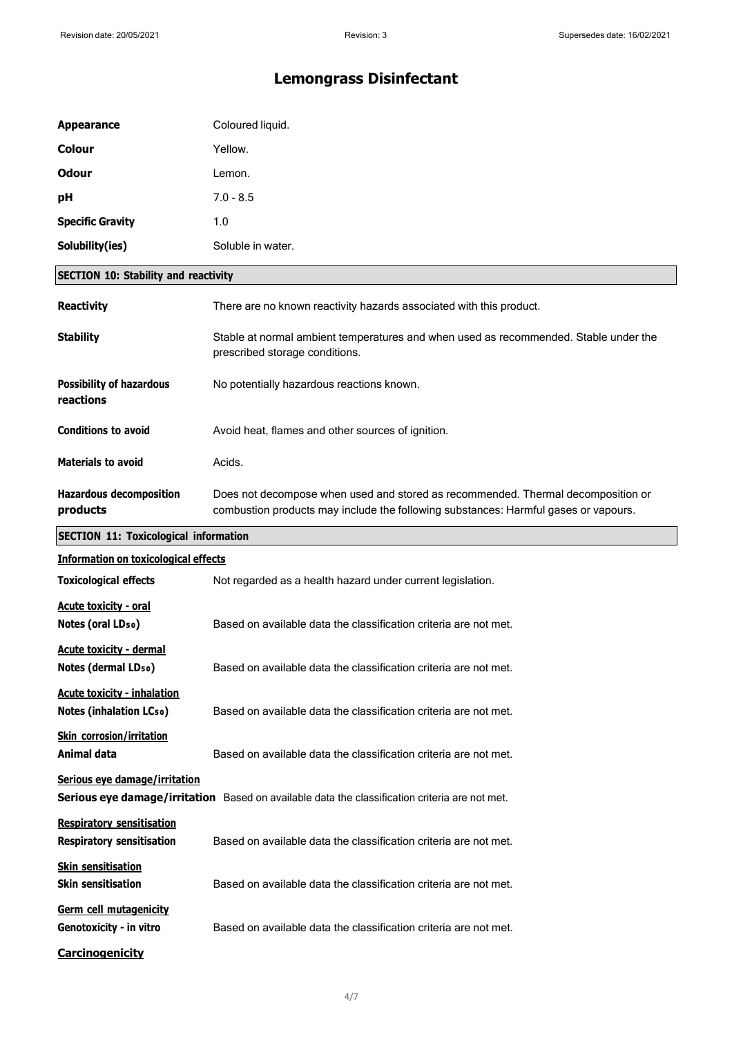| <b>Appearance</b>                                                    | Coloured liquid.                                                                                                                                                        |
|----------------------------------------------------------------------|-------------------------------------------------------------------------------------------------------------------------------------------------------------------------|
| <b>Colour</b>                                                        | Yellow.                                                                                                                                                                 |
| <b>Odour</b>                                                         | Lemon.                                                                                                                                                                  |
| рH                                                                   | $7.0 - 8.5$                                                                                                                                                             |
| <b>Specific Gravity</b>                                              | 1.0                                                                                                                                                                     |
| Solubility(ies)                                                      | Soluble in water.                                                                                                                                                       |
| <b>SECTION 10: Stability and reactivity</b>                          |                                                                                                                                                                         |
| <b>Reactivity</b>                                                    | There are no known reactivity hazards associated with this product.                                                                                                     |
| <b>Stability</b>                                                     | Stable at normal ambient temperatures and when used as recommended. Stable under the<br>prescribed storage conditions.                                                  |
| <b>Possibility of hazardous</b><br>reactions                         | No potentially hazardous reactions known.                                                                                                                               |
| <b>Conditions to avoid</b>                                           | Avoid heat, flames and other sources of ignition.                                                                                                                       |
| <b>Materials to avoid</b>                                            | Acids.                                                                                                                                                                  |
| <b>Hazardous decomposition</b><br>products                           | Does not decompose when used and stored as recommended. Thermal decomposition or<br>combustion products may include the following substances: Harmful gases or vapours. |
| <b>SECTION 11: Toxicological information</b>                         |                                                                                                                                                                         |
| <b>Information on toxicological effects</b>                          |                                                                                                                                                                         |
| <b>Toxicological effects</b>                                         | Not regarded as a health hazard under current legislation.                                                                                                              |
| <b>Acute toxicity - oral</b><br>Notes (oral LD <sub>50</sub> )       | Based on available data the classification criteria are not met.                                                                                                        |
| <b>Acute toxicity - dermal</b><br>Notes (dermal LD <sub>50</sub> )   | Based on available data the classification criteria are not met.                                                                                                        |
| <b>Acute toxicity - inhalation</b><br><b>Notes (inhalation LCso)</b> | Based on available data the classification criteria are not met.                                                                                                        |
| <b>Skin corrosion/irritation</b><br>Animal data                      | Based on available data the classification criteria are not met.                                                                                                        |
| Serious eye damage/irritation                                        | Serious eye damage/irritation Based on available data the classification criteria are not met.                                                                          |
| <b>Respiratory sensitisation</b><br><b>Respiratory sensitisation</b> | Based on available data the classification criteria are not met.                                                                                                        |
| <b>Skin sensitisation</b><br><b>Skin sensitisation</b>               | Based on available data the classification criteria are not met.                                                                                                        |
| Germ cell mutagenicity<br>Genotoxicity - in vitro                    | Based on available data the classification criteria are not met.                                                                                                        |
| <b>Carcinogenicity</b>                                               |                                                                                                                                                                         |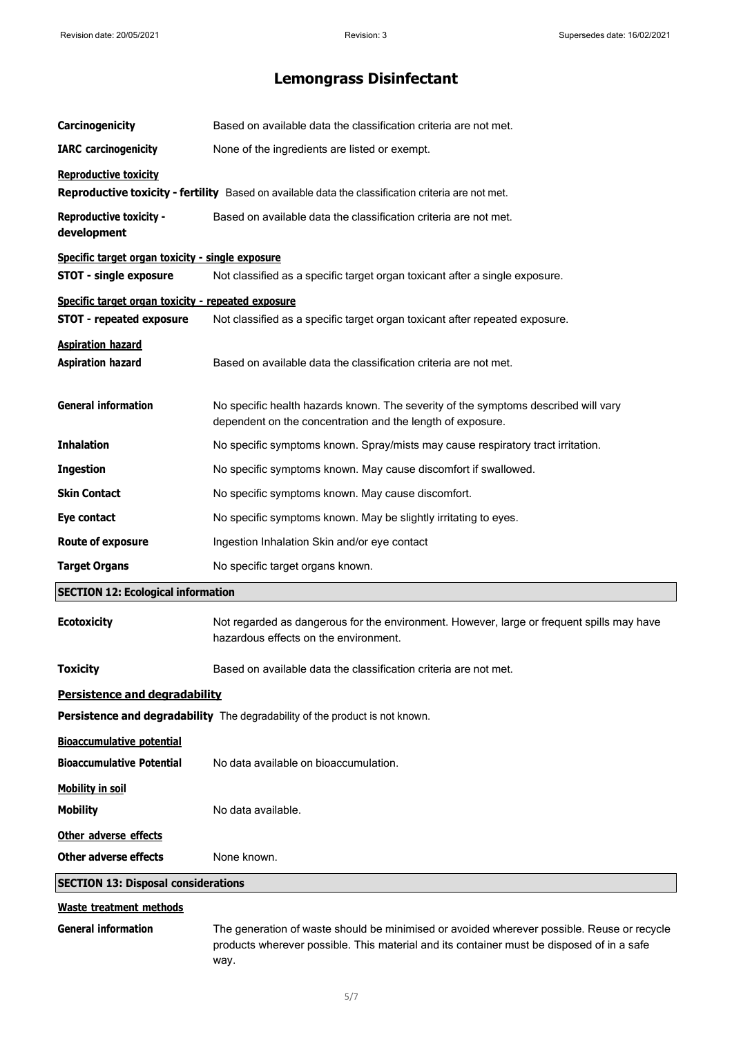| Carcinogenicity                                                              | Based on available data the classification criteria are not met.                                                                                 |  |
|------------------------------------------------------------------------------|--------------------------------------------------------------------------------------------------------------------------------------------------|--|
| <b>IARC</b> carcinogenicity                                                  | None of the ingredients are listed or exempt.                                                                                                    |  |
| <b>Reproductive toxicity</b>                                                 |                                                                                                                                                  |  |
|                                                                              | <b>Reproductive toxicity - fertility</b> Based on available data the classification criteria are not met.                                        |  |
| <b>Reproductive toxicity -</b><br>development                                | Based on available data the classification criteria are not met.                                                                                 |  |
| Specific target organ toxicity - single exposure                             |                                                                                                                                                  |  |
| <b>STOT - single exposure</b>                                                | Not classified as a specific target organ toxicant after a single exposure.                                                                      |  |
| Specific target organ toxicity - repeated exposure                           |                                                                                                                                                  |  |
| <b>STOT - repeated exposure</b>                                              | Not classified as a specific target organ toxicant after repeated exposure.                                                                      |  |
| <b>Aspiration hazard</b><br><b>Aspiration hazard</b>                         | Based on available data the classification criteria are not met.                                                                                 |  |
| <b>General information</b>                                                   | No specific health hazards known. The severity of the symptoms described will vary<br>dependent on the concentration and the length of exposure. |  |
| <b>Inhalation</b>                                                            | No specific symptoms known. Spray/mists may cause respiratory tract irritation.                                                                  |  |
| <b>Ingestion</b>                                                             | No specific symptoms known. May cause discomfort if swallowed.                                                                                   |  |
| <b>Skin Contact</b>                                                          | No specific symptoms known. May cause discomfort.                                                                                                |  |
| Eye contact                                                                  | No specific symptoms known. May be slightly irritating to eyes.                                                                                  |  |
| <b>Route of exposure</b>                                                     | Ingestion Inhalation Skin and/or eye contact                                                                                                     |  |
| <b>Target Organs</b>                                                         | No specific target organs known.                                                                                                                 |  |
| <b>SECTION 12: Ecological information</b>                                    |                                                                                                                                                  |  |
| <b>Ecotoxicity</b>                                                           | Not regarded as dangerous for the environment. However, large or frequent spills may have<br>hazardous effects on the environment.               |  |
| <b>Toxicity</b>                                                              | Based on available data the classification criteria are not met.                                                                                 |  |
| <b>Persistence and degradability</b>                                         |                                                                                                                                                  |  |
| Persistence and degradability The degradability of the product is not known. |                                                                                                                                                  |  |
| <b>Bioaccumulative potential</b>                                             |                                                                                                                                                  |  |
| <b>Bioaccumulative Potential</b>                                             | No data available on bioaccumulation.                                                                                                            |  |
| <b>Mobility in soil</b>                                                      |                                                                                                                                                  |  |
| <b>Mobility</b>                                                              | No data available.                                                                                                                               |  |
| Other adverse effects                                                        |                                                                                                                                                  |  |
| <b>Other adverse effects</b>                                                 | None known.                                                                                                                                      |  |
| <b>SECTION 13: Disposal considerations</b>                                   |                                                                                                                                                  |  |
| <b>Waste treatment methods</b>                                               |                                                                                                                                                  |  |
|                                                                              |                                                                                                                                                  |  |

**General information** The generation of waste should be minimised or avoided wherever possible. Reuse or recycle products wherever possible. This material and its container must be disposed of in a safe way.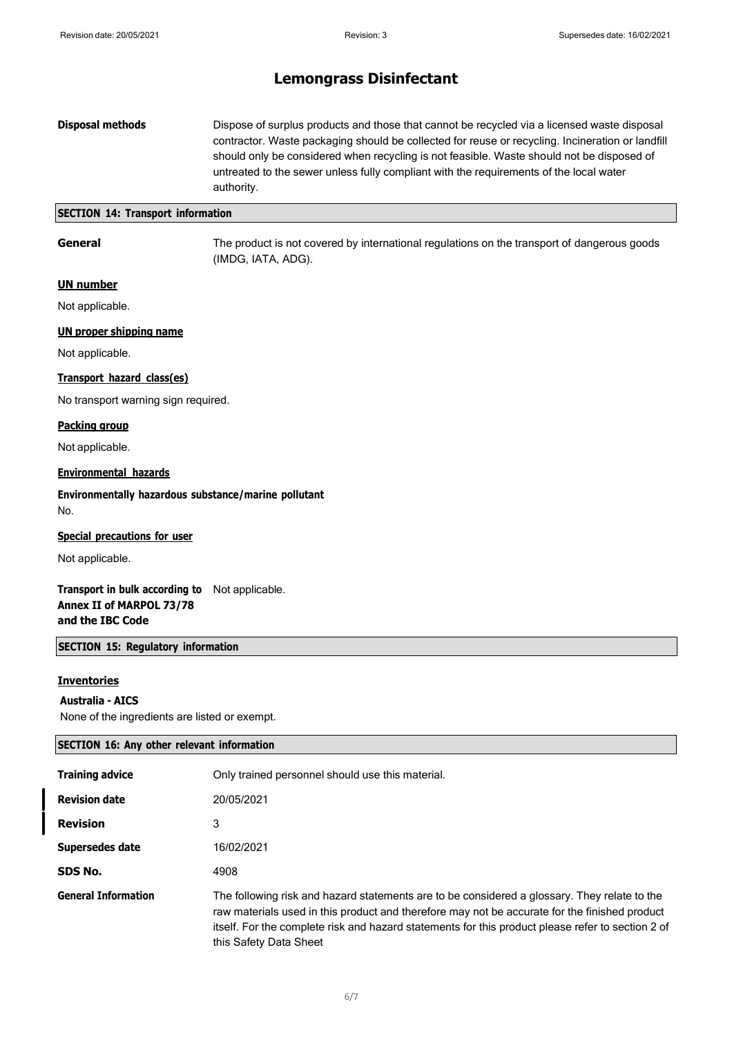#### **Disposal methods** Dispose of surplus products and those that cannot be recycled via a licensed waste disposal contractor. Waste packaging should be collected for reuse or recycling. Incineration or landfill should only be considered when recycling is not feasible. Waste should not be disposed of untreated to the sewer unless fully compliant with the requirements of the local water authority.

#### **SECTION 14: Transport information**

**General** The product is not covered by international regulations on the transport of dangerous goods (IMDG, IATA, ADG).

#### **UN number**

Not applicable.

#### **UN proper shipping name**

Not applicable.

#### **Transport hazard class(es)**

No transport warning sign required.

#### **Packing group**

Not applicable.

#### **Environmental hazards**

**Environmentally hazardous substance/marine pollutant** No.

#### **Special precautions for user**

Not applicable.

#### **Transport in bulk according to** Not applicable. **Annex II of MARPOL 73/78 and the IBC Code**

#### **SECTION 15: Regulatory information**

#### **Inventories**

#### **Australia - AICS**

None of the ingredients are listed or exempt.

| <b>SECTION 16: Any other relevant information</b> |                                                                                                                                                                                                                                                                                                                              |
|---------------------------------------------------|------------------------------------------------------------------------------------------------------------------------------------------------------------------------------------------------------------------------------------------------------------------------------------------------------------------------------|
| <b>Training advice</b>                            | Only trained personnel should use this material.                                                                                                                                                                                                                                                                             |
| <b>Revision date</b>                              | 20/05/2021                                                                                                                                                                                                                                                                                                                   |
| <b>Revision</b>                                   | 3                                                                                                                                                                                                                                                                                                                            |
| Supersedes date                                   | 16/02/2021                                                                                                                                                                                                                                                                                                                   |
| SDS No.                                           | 4908                                                                                                                                                                                                                                                                                                                         |
| <b>General Information</b>                        | The following risk and hazard statements are to be considered a glossary. They relate to the<br>raw materials used in this product and therefore may not be accurate for the finished product<br>itself. For the complete risk and hazard statements for this product please refer to section 2 of<br>this Safety Data Sheet |